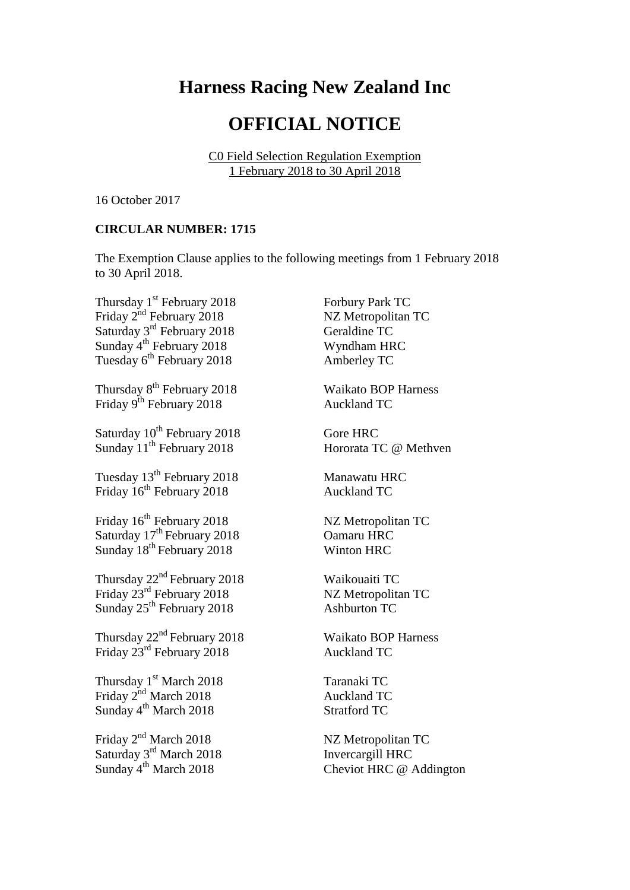## **Harness Racing New Zealand Inc**

## **OFFICIAL NOTICE**

C0 Field Selection Regulation Exemption 1 February 2018 to 30 April 2018

16 October 2017

## **CIRCULAR NUMBER: 1715**

The Exemption Clause applies to the following meetings from 1 February 2018 to 30 April 2018.

Thursday 1<sup>st</sup> February 2018 Forbury Park TC Friday 2<sup>nd</sup> February 2018 NZ Metropolitan TC Saturday 3<sup>rd</sup> February 2018 Geraldine TC Sunday 4<sup>th</sup> February 2018 Wyndham HRC Tuesday 6<sup>th</sup> February 2018 Amberley TC

Thursday 8<sup>th</sup> February 2018 Waikato BOP Harness Friday 9<sup>th</sup> February 2018 Auckland TC

Saturday 10<sup>th</sup> February 2018 Gore HRC Sunday 11<sup>th</sup> February 2018 **Hororata TC @ Methven** 

Tuesday 13<sup>th</sup> February 2018 Manawatu HRC Friday  $16^{th}$  February 2018 Auckland TC

Friday 16<sup>th</sup> February 2018 NZ Metropolitan TC Saturday 17<sup>th</sup> February 2018 **Oamaru HRC** Sunday  $18^{th}$  February 2018 Winton HRC

Thursday  $22^{nd}$  February 2018 Waikouaiti TC Friday  $23^{\text{rd}}$  February 2018 NZ Metropolitan TC Sunday  $25^{th}$  February 2018 Ashburton TC

Thursday  $22^{nd}$  February 2018 Waikato BOP Harness Friday  $23^{\text{rd}}$  February 2018 Auckland TC

Thursday 1<sup>st</sup> March 2018 Taranaki TC Friday  $2^{nd}$  March 2018 Auckland TC Sunday 4<sup>th</sup> March 2018 Stratford TC

Friday 2<sup>nd</sup> March 2018 NZ Metropolitan TC Saturday 3<sup>rd</sup> March 2018 **Invercargill HRC** 

Sunday 4<sup>th</sup> March 2018 Cheviot HRC @ Addington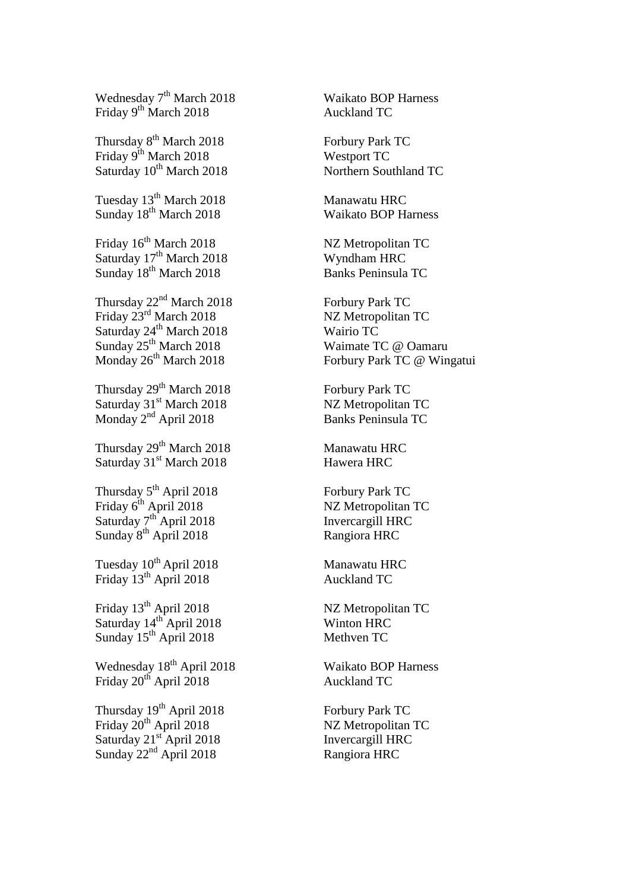Wednesday 7<sup>th</sup> March 2018 Waikato BOP Harness Friday 9<sup>th</sup> March 2018 Auckland TC

Thursday 8<sup>th</sup> March 2018 Forbury Park TC Friday 9<sup>th</sup> March 2018 Westport TC Saturday  $10^{th}$  March 2018 Northern Southland TC

Tuesday 13<sup>th</sup> March 2018 Manawatu HRC Sunday 18<sup>th</sup> March 2018 Waikato BOP Harness

Friday  $16^{th}$  March 2018 NZ Metropolitan TC Saturday 17<sup>th</sup> March 2018 Wyndham HRC<br>
Sunday 18<sup>th</sup> March 2018 Banks Peninsula TC Sunday  $18<sup>th</sup>$  March 2018

Thursday 22<sup>nd</sup> March 2018 Forbury Park TC Friday 23<sup>rd</sup> March 2018 NZ Metropolitan TC Saturday  $24^{th}$  March 2018 Wairio TC Sunday 25<sup>th</sup> March 2018 Waimate TC @ Oamaru

Thursday  $29^{th}$  March 2018 Forbury Park TC Saturday 31<sup>st</sup> March 2018 NZ Metropolitan TC Monday 2<sup>nd</sup> April 2018 Banks Peninsula TC

Thursday 29<sup>th</sup> March 2018 Manawatu HRC Saturday 31<sup>st</sup> March 2018 Hawera HRC

Thursday 5<sup>th</sup> April 2018 Forbury Park TC Friday 6<sup>th</sup> April 2018 NZ Metropolitan TC Saturday 7<sup>th</sup> April 2018 Invercargill HRC Sunday 8<sup>th</sup> April 2018 Rangiora HRC

Tuesday  $10^{th}$  April 2018 Manawatu HRC Friday 13<sup>th</sup> April 2018 Auckland TC

Friday 13<sup>th</sup> April 2018 NZ Metropolitan TC Saturday  $14^{\text{th}}$  April 2018 Winton HRC Sunday 15<sup>th</sup> April 2018 Methven TC

Wednesday 18<sup>th</sup> April 2018 Waikato BOP Harness Friday 20<sup>th</sup> April 2018 Auckland TC

Thursday 19<sup>th</sup> April 2018 Forbury Park TC Friday 20<sup>th</sup> April 2018 NZ Metropolitan TC Saturday 21<sup>st</sup> April 2018 Invercargill HRC Sunday 22<sup>nd</sup> April 2018 Rangiora HRC

Monday 26<sup>th</sup> March 2018 Forbury Park TC @ Wingatui